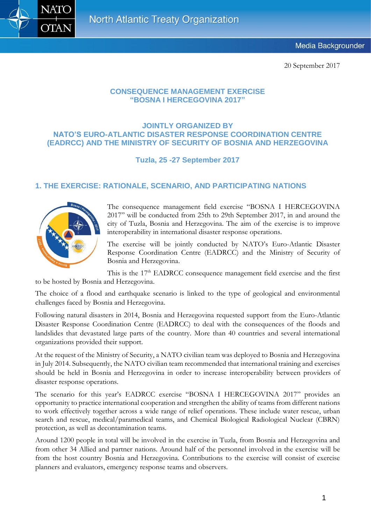

20 September 2017

#### **CONSEQUENCE MANAGEMENT EXERCISE "BOSNA I HERCEGOVINA 2017"**

#### **JOINTLY ORGANIZED BY NATO'S EURO-ATLANTIC DISASTER RESPONSE COORDINATION CENTRE (EADRCC) AND THE MINISTRY OF SECURITY OF BOSNIA AND HERZEGOVINA**

**Tuzla, 25 -27 September 2017**

### **1. THE EXERCISE: RATIONALE, SCENARIO, AND PARTICIPATING NATIONS**



The consequence management field exercise "BOSNA I HERCEGOVINA 2017" will be conducted from 25th to 29th September 2017, in and around the city of Tuzla, Bosnia and Herzegovina. The aim of the exercise is to improve interoperability in international disaster response operations.

The exercise will be jointly conducted by NATO's Euro-Atlantic Disaster Response Coordination Centre (EADRCC) and the Ministry of Security of Bosnia and Herzegovina.

This is the  $17<sup>th</sup>$  EADRCC consequence management field exercise and the first to be hosted by Bosnia and Herzegovina.

The choice of a flood and earthquake scenario is linked to the type of geological and environmental challenges faced by Bosnia and Herzegovina.

Following natural disasters in 2014, Bosnia and Herzegovina requested support from the Euro-Atlantic Disaster Response Coordination Centre (EADRCC) to deal with the consequences of the floods and landslides that devastated large parts of the country. More than 40 countries and several international organizations provided their support.

At the request of the Ministry of Security, a NATO civilian team was deployed to Bosnia and Herzegovina in July 2014. Subsequently, the NATO civilian team recommended that international training and exercises should be held in Bosnia and Herzegovina in order to increase interoperability between providers of disaster response operations.

The scenario for this year's EADRCC exercise "BOSNA I HERCEGOVINA 2017" provides an opportunity to practice international cooperation and strengthen the ability of teams from different nations to work effectively together across a wide range of relief operations. These include water rescue, urban search and rescue, medical/paramedical teams, and Chemical Biological Radiological Nuclear (CBRN) protection, as well as decontamination teams.

Around 1200 people in total will be involved in the exercise in Tuzla, from Bosnia and Herzegovina and from other 34 Allied and partner nations. Around half of the personnel involved in the exercise will be from the host country Bosnia and Herzegovina. Contributions to the exercise will consist of exercise planners and evaluators, emergency response teams and observers.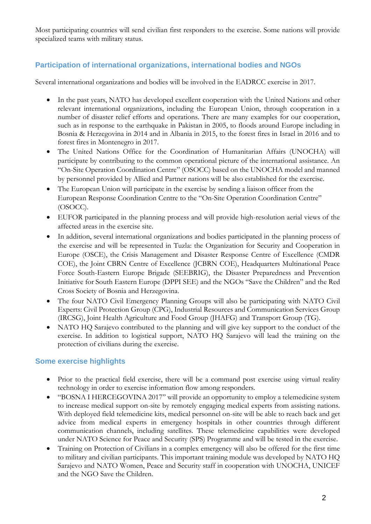Most participating countries will send civilian first responders to the exercise. Some nations will provide specialized teams with military status.

## **Participation of international organizations, international bodies and NGOs**

Several international organizations and bodies will be involved in the EADRCC exercise in 2017.

- In the past years, NATO has developed excellent cooperation with the United Nations and other relevant international organizations, including the European Union, through cooperation in a number of disaster relief efforts and operations. There are many examples for our cooperation, such as in response to the earthquake in Pakistan in 2005, to floods around Europe including in Bosnia & Herzegovina in 2014 and in Albania in 2015, to the forest fires in Israel in 2016 and to forest fires in Montenegro in 2017.
- The United Nations Office for the Coordination of Humanitarian Affairs (UNOCHA) will participate by contributing to the common operational picture of the international assistance. An "On-Site Operation Coordination Centre" (OSOCC) based on the UNOCHA model and manned by personnel provided by Allied and Partner nations will be also established for the exercise.
- The European Union will participate in the exercise by sending a liaison officer from the European Response Coordination Centre to the "On-Site Operation Coordination Centre" (OSOCC).
- EUFOR participated in the planning process and will provide high-resolution aerial views of the affected areas in the exercise site.
- In addition, several international organizations and bodies participated in the planning process of the exercise and will be represented in Tuzla: the Organization for Security and Cooperation in Europe (OSCE), the Crisis Management and Disaster Response Centre of Excellence (CMDR COE), the Joint CBRN Centre of Excellence (JCBRN COE), Headquarters Multinational Peace Force South-Eastern Europe Brigade (SEEBRIG), the Disaster Preparedness and Prevention Initiative for South Eastern Europe (DPPI SEE) and the NGOs "Save the Children" and the Red Cross Society of Bosnia and Herzegovina.
- The four NATO Civil Emergency Planning Groups will also be participating with NATO Civil Experts: Civil Protection Group (CPG), Industrial Resources and Communication Services Group (IRCSG), Joint Health Agriculture and Food Group (JHAFG) and Transport Group (TG).
- NATO HQ Sarajevo contributed to the planning and will give key support to the conduct of the exercise. In addition to logistical support, NATO HQ Sarajevo will lead the training on the protection of civilians during the exercise.

#### **Some exercise highlights**

- Prior to the practical field exercise, there will be a command post exercise using virtual reality technology in order to exercise information flow among responders.
- "BOSNA I HERCEGOVINA 2017" will provide an opportunity to employ a telemedicine system to increase medical support on-site by remotely engaging medical experts from assisting nations. With deployed field telemedicine kits, medical personnel on-site will be able to reach back and get advice from medical experts in emergency hospitals in other countries through different communication channels, including satellites. These telemedicine capabilities were developed under NATO Science for Peace and Security (SPS) Programme and will be tested in the exercise.
- Training on Protection of Civilians in a complex emergency will also be offered for the first time to military and civilian participants. This important training module was developed by NATO HQ Sarajevo and NATO Women, Peace and Security staff in cooperation with UNOCHA, UNICEF and the NGO Save the Children.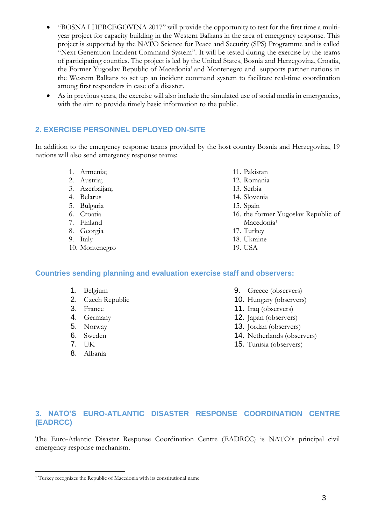- "BOSNA I HERCEGOVINA 2017" will provide the opportunity to test for the first time a multiyear project for capacity building in the Western Balkans in the area of emergency response. This project is supported by the NATO Science for Peace and Security (SPS) Programme and is called "Next Generation Incident Command System". It will be tested during the exercise by the teams of participating counties. The project is led by the United States, Bosnia and Herzegovina, Croatia, the Former Yugoslav Republic of Macedonia<sup>1</sup> and Montenegro and supports partner nations in the Western Balkans to set up an incident command system to facilitate real-time coordination among first responders in case of a disaster.
- As in previous years, the exercise will also include the simulated use of social media in emergencies, with the aim to provide timely basic information to the public.

### **2. EXERCISE PERSONNEL DEPLOYED ON-SITE**

In addition to the emergency response teams provided by the host country Bosnia and Herzegovina, 19 nations will also send emergency response teams:

- 1. Armenia;
- 2. Austria;
- 3. Azerbaijan;
- 4. Belarus
- 5. Bulgaria
- 6. Croatia
- 7. Finland
- 8. Georgia
- 9. Italy
- 10. Montenegro
- 11. Pakistan
- 12. Romania
- 13. Serbia
- 14. Slovenia
- 15. Spain
- 16. the former Yugoslav Republic of Macedonia<sup>1</sup>
- 17. Turkey
- 18. Ukraine
- 19. USA

#### **Countries sending planning and evaluation exercise staff and observers:**

- 1. Belgium
- 2. Czech Republic
- 3. France
- 4. Germany
- 5. Norway
- 6. Sweden
- 7. UK

1

8. Albania

- 9. Greece (observers)
- 10. Hungary (observers)
- 11. Iraq (observers)
- 12. Japan (observers)
- 13. Jordan (observers)
- 14. Netherlands (observers)
- 15. Tunisia (observers)

# **3. NATO'S EURO-ATLANTIC DISASTER RESPONSE COORDINATION CENTRE (EADRCC)**

The Euro-Atlantic Disaster Response Coordination Centre (EADRCC) is NATO's principal civil emergency response mechanism.

<sup>1</sup> Turkey recognizes the Republic of Macedonia with its constitutional name